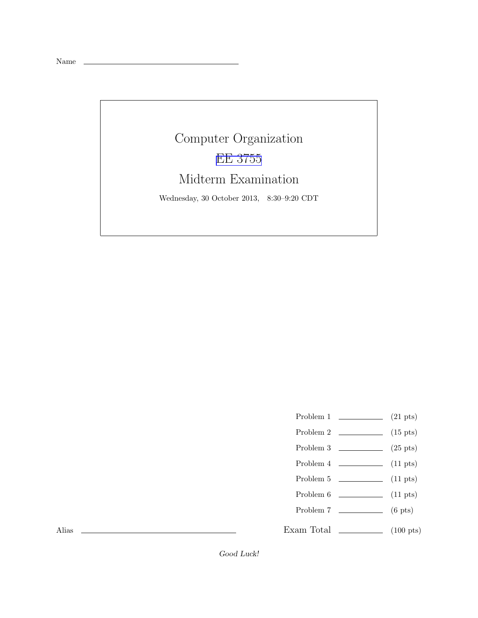Name

## Computer Organization [EE 3755](http://www.ece.lsu.edu/ee3755/) Midterm Examination Wednesday, 30 October 2013, 8:30–9:20 CDT

- Problem 1  $(21 \text{ pts})$
- Problem 2  $(15 \text{ pts})$
- Problem 3  $\qquad \qquad (25 \text{ pts})$
- Problem 4  $\sim$  (11 pts)
- Problem 5 (11 pts)
- Problem  $6 \t\t(11 \text{ pts})$
- Problem 7 (6 pts)
- Exam Total \_\_\_\_\_\_\_\_\_\_\_\_\_\_ (100 pts)

Alias

Good Luck!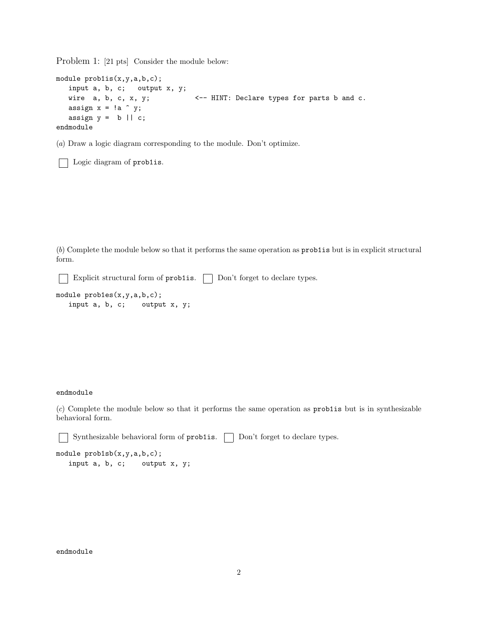Problem 1: [21 pts] Consider the module below:

```
module prob1is(x,y,a,b,c);
  input a, b, c; output x, y;
  wire a, b, c, x, y; <-- HINT: Declare types for parts b and c.
  assign x = !a \hat{y};
  assign y = b || c;endmodule
```
(a) Draw a logic diagram corresponding to the module. Don't optimize.

Logic diagram of problis.

(b) Complete the module below so that it performs the same operation as prob1is but is in explicit structural form.

Explicit structural form of  $prob1$ is.  $\Box$  Don't forget to declare types.

```
module probles(x,y,a,b,c);input a, b, c; output x, y;
```
## endmodule

(c) Complete the module below so that it performs the same operation as prob1is but is in synthesizable behavioral form.

Synthesizable behavioral form of prob1is. Don't forget to declare types.

```
module prob1sb(x,y,a,b,c);
  input a, b, c; output x, y;
```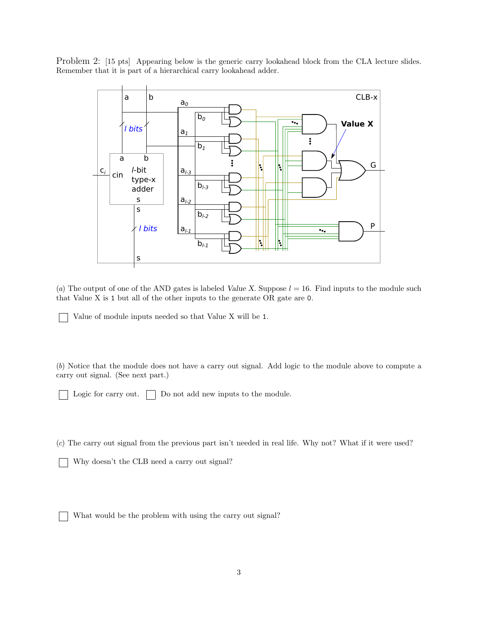Problem 2: [15 pts] Appearing below is the generic carry lookahead block from the CLA lecture slides. Remember that it is part of a hierarchical carry lookahead adder.



(a) The output of one of the AND gates is labeled Value X. Suppose  $l = 16$ . Find inputs to the module such that Value X is 1 but all of the other inputs to the generate OR gate are 0.

Value of module inputs needed so that Value X will be 1.

(b) Notice that the module does not have a carry out signal. Add logic to the module above to compute a carry out signal. (See next part.)

Logic for carry out.  $\Box$  Do not add new inputs to the module.

(c) The carry out signal from the previous part isn't needed in real life. Why not? What if it were used?

Why doesn't the CLB need a carry out signal?

What would be the problem with using the carry out signal?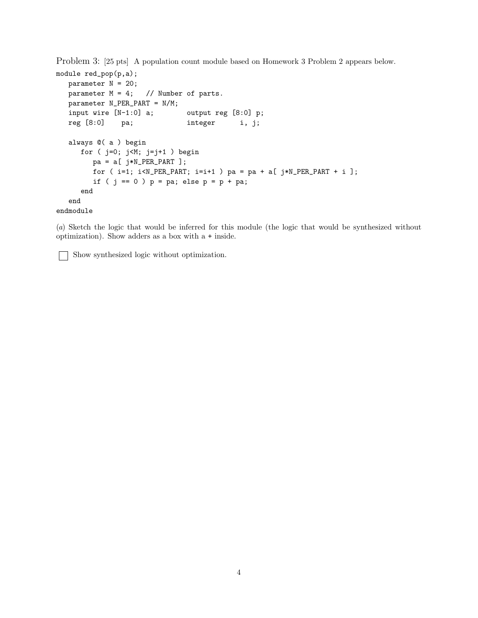Problem 3: [25 pts] A population count module based on Homework 3 Problem 2 appears below.

```
module red_pop(p,a);
  parameter N = 20;
  parameter M = 4; // Number of parts.
  parameter N_PER_PART = N/M;
   input wire [N-1:0] a; output reg [8:0] p;
  reg [8:0] pa; integer i, j;
   always @( a ) begin
     for ( j=0; j<M; j=j+1 ) begin
        pa = a[ j*N\_PER\_PART ];
        for ( i=1; i< N_PER_PART; i=i+1 ) pa = pa + a[ j*N_PER_PART + i ];
        if ( j == 0 ) p = pa; else p = p + pa;
     end
   end
endmodule
```
(a) Sketch the logic that would be inferred for this module (the logic that would be synthesized without optimization). Show adders as a box with a + inside.

Show synthesized logic without optimization.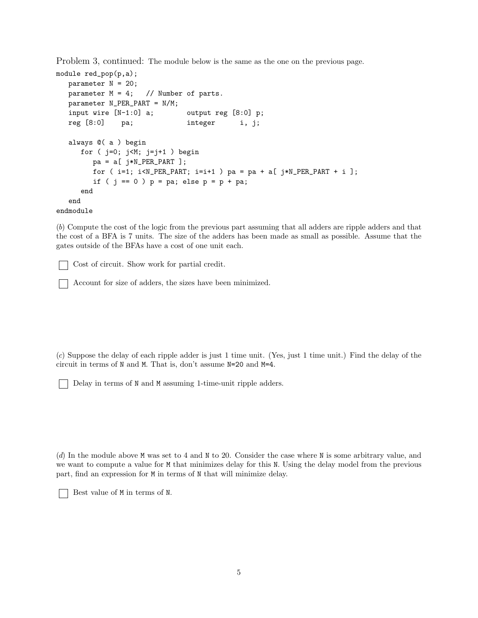Problem 3, continued: The module below is the same as the one on the previous page.

```
module red_pop(p,a);
  parameter N = 20;
  parameter M = 4; // Number of parts.
  parameter N_PER_PART = N/M;
  input wire [N-1:0] a; output reg [8:0] p;
  reg [8:0] pa; integer i, j;
  always @( a ) begin
     for ( j=0; j<M; j=j+1 ) begin
        pa = a[ j*N_PER_PART ];
        for (i=1; i< N_PER_PART; i=i+1) pa = pa + a[j*N_PER_PART + i];
        if ( j == 0 ) p = pa; else p = p + pa;
     end
  end
endmodule
```
(b) Compute the cost of the logic from the previous part assuming that all adders are ripple adders and that the cost of a BFA is 7 units. The size of the adders has been made as small as possible. Assume that the gates outside of the BFAs have a cost of one unit each.

Cost of circuit. Show work for partial credit.

Account for size of adders, the sizes have been minimized.

(c) Suppose the delay of each ripple adder is just 1 time unit. (Yes, just 1 time unit.) Find the delay of the circuit in terms of N and M. That is, don't assume N=20 and M=4.

Delay in terms of N and M assuming 1-time-unit ripple adders.

(d) In the module above M was set to 4 and N to 20. Consider the case where N is some arbitrary value, and we want to compute a value for M that minimizes delay for this N. Using the delay model from the previous part, find an expression for M in terms of N that will minimize delay.

Best value of M in terms of N.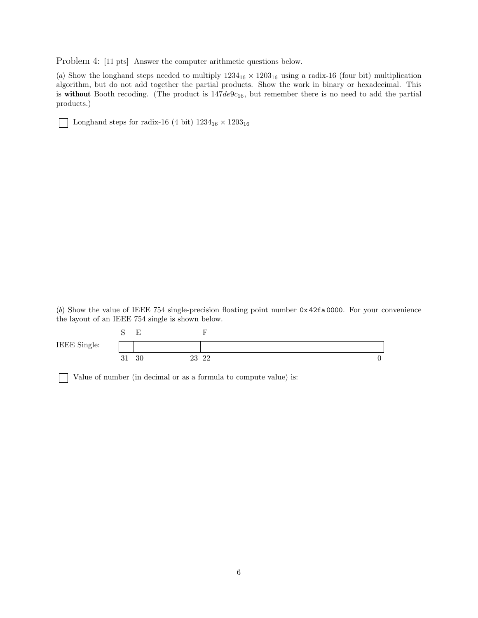Problem 4: [11 pts] Answer the computer arithmetic questions below.

(a) Show the longhand steps needed to multiply  $1234_{16} \times 1203_{16}$  using a radix-16 (four bit) multiplication algorithm, but do not add together the partial products. Show the work in binary or hexadecimal. This is without Booth recoding. (The product is  $147de9c_{16}$ , but remember there is no need to add the partial products.)

Longhand steps for radix-16 (4 bit)  $1234_{16} \times 1203_{16}$ 

(b) Show the value of IEEE 754 single-precision floating point number 0x 42fa 0000. For your convenience the layout of an IEEE 754 single is shown below.

|              |    | $\overline{\phantom{a}}$ |       |  |
|--------------|----|--------------------------|-------|--|
| IEEE Single: |    |                          |       |  |
|              | υı | 30                       | 23 22 |  |

Value of number (in decimal or as a formula to compute value) is: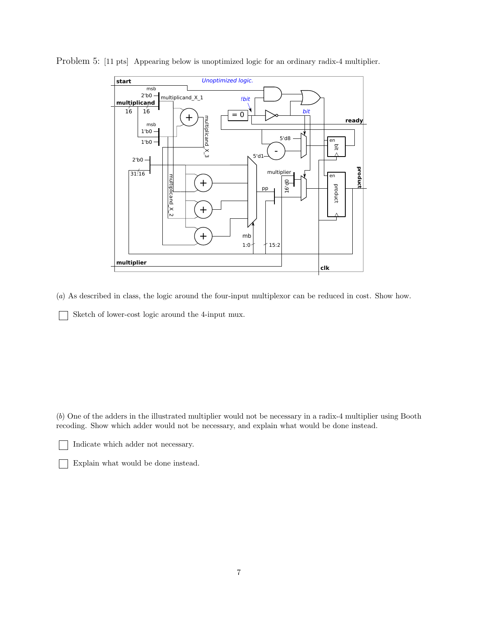

Problem 5: [11 pts] Appearing below is unoptimized logic for an ordinary radix-4 multiplier.

(a) As described in class, the logic around the four-input multiplexor can be reduced in cost. Show how.

Sketch of lower-cost logic around the 4-input mux.

(b) One of the adders in the illustrated multiplier would not be necessary in a radix-4 multiplier using Booth recoding. Show which adder would not be necessary, and explain what would be done instead.

Indicate which adder not necessary.

Explain what would be done instead.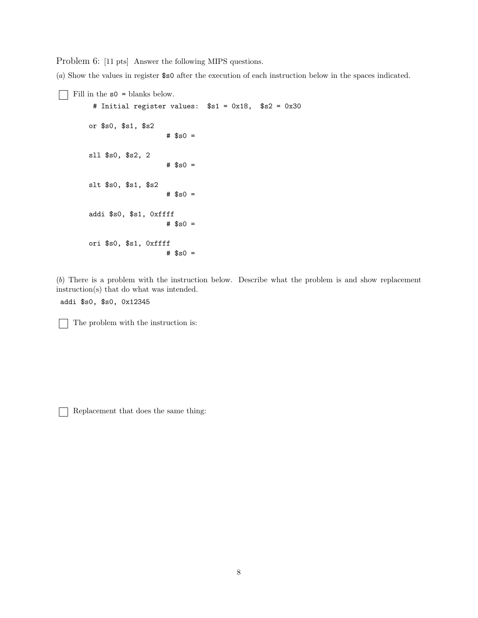Problem 6: [11 pts] Answer the following MIPS questions.

(a) Show the values in register \$s0 after the execution of each instruction below in the spaces indicated.

 $\Box$  <br> Fill in the  $\verb|s0 = blanks$  below.

```
# Initial register values: $s1 = 0x18, $s2 = 0x30
or $s0, $s1, $s2
                  # $s0 =sll $s0, $s2, 2
                   # $s0 =slt $s0, $s1, $s2
                   # $s0 =addi $s0, $s1, 0xffff
                   # $s0 =
ori $s0, $s1, 0xffff
                   # $s0 =
```
(b) There is a problem with the instruction below. Describe what the problem is and show replacement instruction(s) that do what was intended.

addi \$s0, \$s0, 0x12345

 $\Box$  The problem with the instruction is:

Replacement that does the same thing: